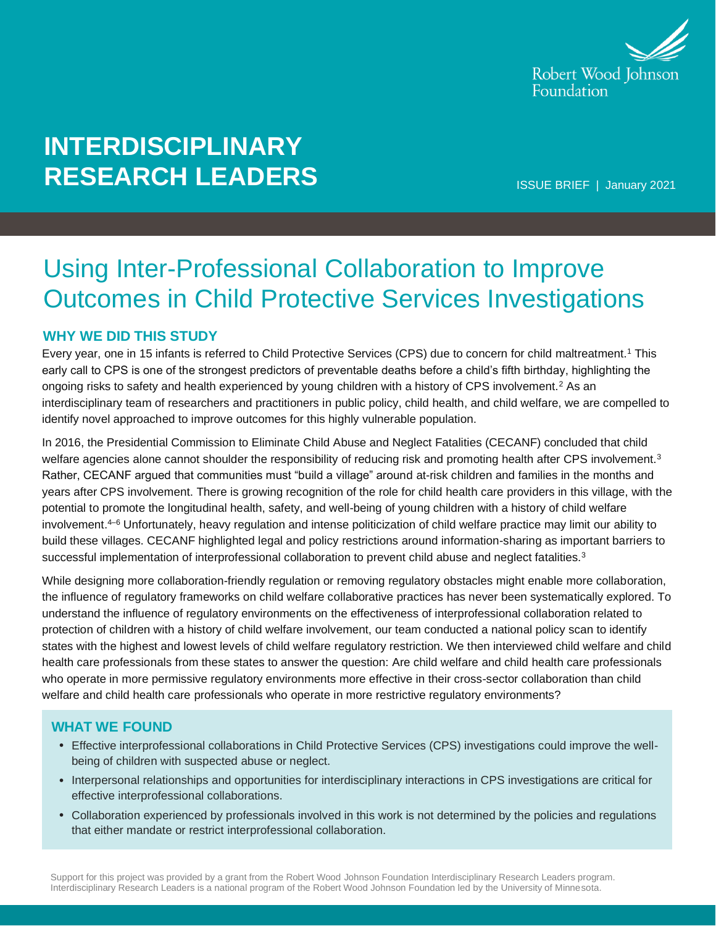

# **INTERDISCIPLINARY RESEARCH LEADERS**

ISSUE BRIEF | January 2021

# Using Inter-Professional Collaboration to Improve Outcomes in Child Protective Services Investigations

# **WHY WE DID THIS STUDY**

Every year, one in 15 infants is referred to Child Protective Services (CPS) due to concern for child maltreatment.<sup>1</sup> This early call to CPS is one of the strongest predictors of preventable deaths before a child's fifth birthday, highlighting the ongoing risks to safety and health experienced by young children with a history of CPS involvement.<sup>2</sup> As an interdisciplinary team of researchers and practitioners in public policy, child health, and child welfare, we are compelled to identify novel approached to improve outcomes for this highly vulnerable population.

In 2016, the Presidential Commission to Eliminate Child Abuse and Neglect Fatalities (CECANF) concluded that child welfare agencies alone cannot shoulder the responsibility of reducing risk and promoting health after CPS involvement.<sup>3</sup> Rather, CECANF argued that communities must "build a village" around at-risk children and families in the months and years after CPS involvement. There is growing recognition of the role for child health care providers in this village, with the potential to promote the longitudinal health, safety, and well-being of young children with a history of child welfare involvement. $4-6$  Unfortunately, heavy regulation and intense politicization of child welfare practice may limit our ability to build these villages. CECANF highlighted legal and policy restrictions around information-sharing as important barriers to successful implementation of interprofessional collaboration to prevent child abuse and neglect fatalities.<sup>3</sup>

While designing more collaboration-friendly regulation or removing regulatory obstacles might enable more collaboration, the influence of regulatory frameworks on child welfare collaborative practices has never been systematically explored. To understand the influence of regulatory environments on the effectiveness of interprofessional collaboration related to protection of children with a history of child welfare involvement, our team conducted a national policy scan to identify states with the highest and lowest levels of child welfare regulatory restriction. We then interviewed child welfare and child health care professionals from these states to answer the question: Are child welfare and child health care professionals who operate in more permissive regulatory environments more effective in their cross-sector collaboration than child welfare and child health care professionals who operate in more restrictive regulatory environments?

#### **WHAT WE FOUND**

- Effective interprofessional collaborations in Child Protective Services (CPS) investigations could improve the wellbeing of children with suspected abuse or neglect.
- Interpersonal relationships and opportunities for interdisciplinary interactions in CPS investigations are critical for effective interprofessional collaborations.
- Collaboration experienced by professionals involved in this work is not determined by the policies and regulations that either mandate or restrict interprofessional collaboration.

Support for this project was provided by a grant from the Robert Wood Johnson Foundation Interdisciplinary Research Leaders program. Interdisciplinary Research Leaders is a national program of the Robert Wood Johnson Foundation led by the University of Minnesota.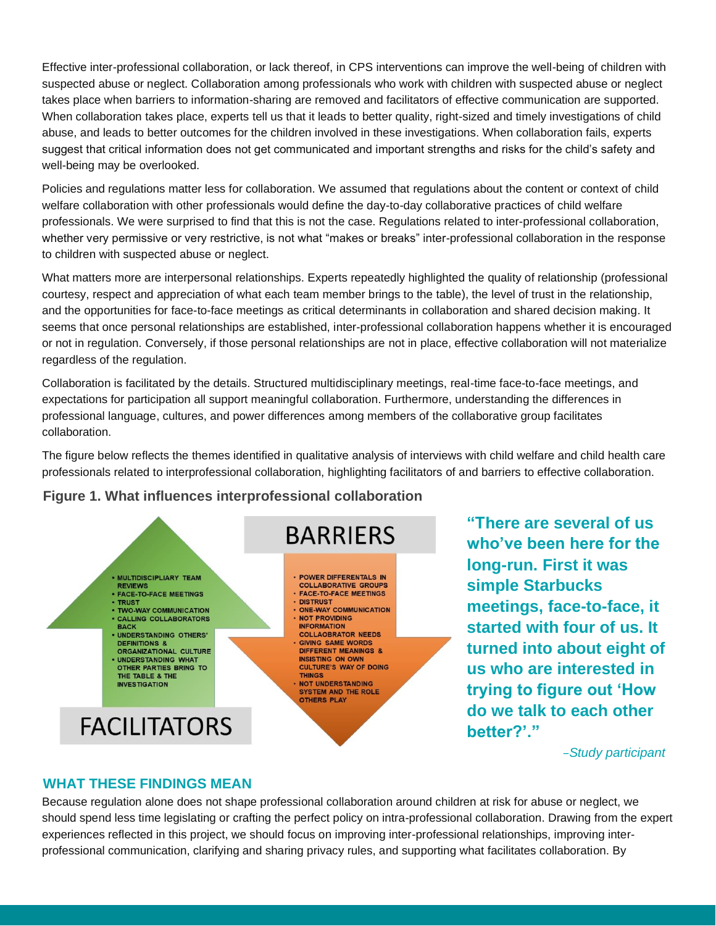Effective inter-professional collaboration, or lack thereof, in CPS interventions can improve the well-being of children with suspected abuse or neglect. Collaboration among professionals who work with children with suspected abuse or neglect takes place when barriers to information-sharing are removed and facilitators of effective communication are supported. When collaboration takes place, experts tell us that it leads to better quality, right-sized and timely investigations of child abuse, and leads to better outcomes for the children involved in these investigations. When collaboration fails, experts suggest that critical information does not get communicated and important strengths and risks for the child's safety and well-being may be overlooked.

Policies and regulations matter less for collaboration. We assumed that regulations about the content or context of child welfare collaboration with other professionals would define the day-to-day collaborative practices of child welfare professionals. We were surprised to find that this is not the case. Regulations related to inter-professional collaboration, whether very permissive or very restrictive, is not what "makes or breaks" inter-professional collaboration in the response to children with suspected abuse or neglect.

What matters more are interpersonal relationships. Experts repeatedly highlighted the quality of relationship (professional courtesy, respect and appreciation of what each team member brings to the table), the level of trust in the relationship, and the opportunities for face-to-face meetings as critical determinants in collaboration and shared decision making. It seems that once personal relationships are established, inter-professional collaboration happens whether it is encouraged or not in regulation. Conversely, if those personal relationships are not in place, effective collaboration will not materialize regardless of the regulation.

Collaboration is facilitated by the details. Structured multidisciplinary meetings, real-time face-to-face meetings, and expectations for participation all support meaningful collaboration. Furthermore, understanding the differences in professional language, cultures, and power differences among members of the collaborative group facilitates collaboration.

The figure below reflects the themes identified in qualitative analysis of interviews with child welfare and child health care professionals related to interprofessional collaboration, highlighting facilitators of and barriers to effective collaboration.

## **Figure 1. What influences interprofessional collaboration**



**"There are several of us who've been here for the long-run. First it was simple Starbucks meetings, face-to-face, it started with four of us. It turned into about eight of us who are interested in trying to figure out 'How do we talk to each other** 

*–Study participant*

## **WHAT THESE FINDINGS MEAN**

Because regulation alone does not shape professional collaboration around children at risk for abuse or neglect, we should spend less time legislating or crafting the perfect policy on intra-professional collaboration. Drawing from the expert experiences reflected in this project, we should focus on improving inter-professional relationships, improving interprofessional communication, clarifying and sharing privacy rules, and supporting what facilitates collaboration. By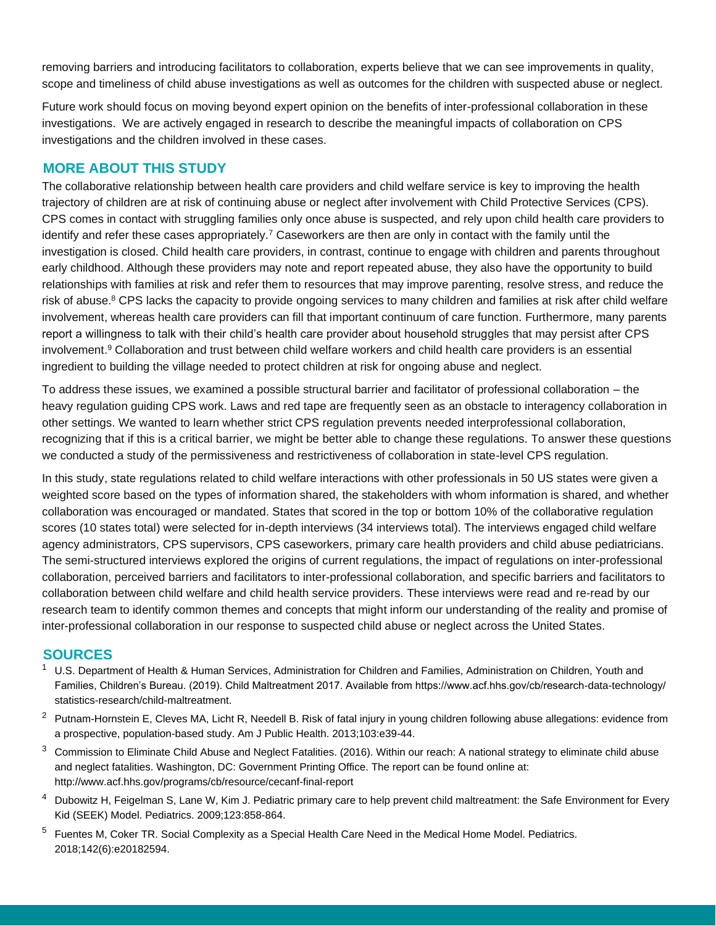removing barriers and introducing facilitators to collaboration, experts believe that we can see improvements in quality, scope and timeliness of child abuse investigations as well as outcomes for the children with suspected abuse or neglect.

Future work should focus on moving beyond expert opinion on the benefits of inter-professional collaboration in these investigations. We are actively engaged in research to describe the meaningful impacts of collaboration on CPS investigations and the children involved in these cases.

#### **MORE ABOUT THIS STUDY**

The collaborative relationship between health care providers and child welfare service is key to improving the health trajectory of children are at risk of continuing abuse or neglect after involvement with Child Protective Services (CPS). CPS comes in contact with struggling families only once abuse is suspected, and rely upon child health care providers to identify and refer these cases appropriately.<sup>7</sup> Caseworkers are then are only in contact with the family until the investigation is closed. Child health care providers, in contrast, continue to engage with children and parents throughout early childhood. Although these providers may note and report repeated abuse, they also have the opportunity to build relationships with families at risk and refer them to resources that may improve parenting, resolve stress, and reduce the risk of abuse.<sup>8</sup> CPS lacks the capacity to provide ongoing services to many children and families at risk after child welfare involvement, whereas health care providers can fill that important continuum of care function. Furthermore, many parents report a willingness to talk with their child's health care provider about household struggles that may persist after CPS involvement.<sup>9</sup> Collaboration and trust between child welfare workers and child health care providers is an essential ingredient to building the village needed to protect children at risk for ongoing abuse and neglect.

To address these issues, we examined a possible structural barrier and facilitator of professional collaboration – the heavy regulation guiding CPS work. Laws and red tape are frequently seen as an obstacle to interagency collaboration in other settings. We wanted to learn whether strict CPS regulation prevents needed interprofessional collaboration, recognizing that if this is a critical barrier, we might be better able to change these regulations. To answer these questions we conducted a study of the permissiveness and restrictiveness of collaboration in state-level CPS regulation.

In this study, state regulations related to child welfare interactions with other professionals in 50 US states were given a weighted score based on the types of information shared, the stakeholders with whom information is shared, and whether collaboration was encouraged or mandated. States that scored in the top or bottom 10% of the collaborative regulation scores (10 states total) were selected for in-depth interviews (34 interviews total). The interviews engaged child welfare agency administrators, CPS supervisors, CPS caseworkers, primary care health providers and child abuse pediatricians. The semi-structured interviews explored the origins of current regulations, the impact of regulations on inter-professional collaboration, perceived barriers and facilitators to inter-professional collaboration, and specific barriers and facilitators to collaboration between child welfare and child health service providers. These interviews were read and re-read by our research team to identify common themes and concepts that might inform our understanding of the reality and promise of inter-professional collaboration in our response to suspected child abuse or neglect across the United States.

#### **SOURCES**

- <sup>1</sup> U.S. Department of Health & Human Services, Administration for Children and Families, Administration on Children, Youth and Families, Children's Bureau. (2019). Child Maltreatment 2017. Available from https://www.acf.hhs.gov/cb/research-data-technology/ statistics-research/child-maltreatment.
- $2$  Putnam-Hornstein E, Cleves MA, Licht R, Needell B. Risk of fatal injury in young children following abuse allegations: evidence from a prospective, population-based study. Am J Public Health. 2013;103:e39-44.
- $3$  Commission to Eliminate Child Abuse and Neglect Fatalities. (2016). Within our reach: A national strategy to eliminate child abuse and neglect fatalities. Washington, DC: Government Printing Office. The report can be found online at: http://www.acf.hhs.gov/programs/cb/resource/cecanf-final-report
- <sup>4</sup> Dubowitz H, Feigelman S, Lane W, Kim J. Pediatric primary care to help prevent child maltreatment: the Safe Environment for Every Kid (SEEK) Model. Pediatrics. 2009;123:858-864.
- <sup>5</sup> Fuentes M, Coker TR. Social Complexity as a Special Health Care Need in the Medical Home Model. Pediatrics. 2018;142(6):e20182594.